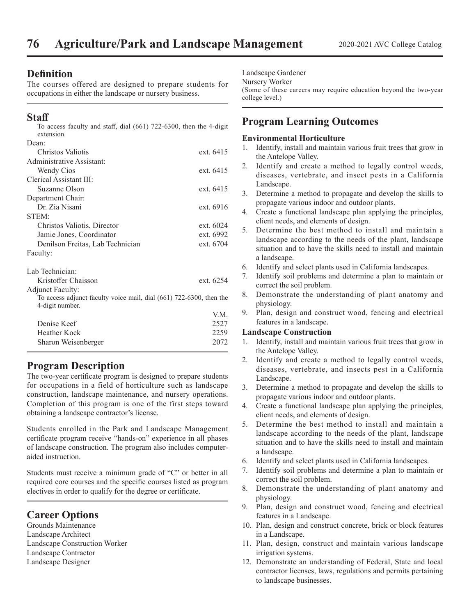# **Definition**

The courses offered are designed to prepare students for occupations in either the landscape or nursery business.

# **Staff**

| To access faculty and staff, dial $(661)$ 722-6300, then the 4-digit<br>extension.     |           |
|----------------------------------------------------------------------------------------|-----------|
| Dean:                                                                                  |           |
| Christos Valiotis                                                                      | ext. 6415 |
| Administrative Assistant:                                                              |           |
| Wendy Cios                                                                             | ext. 6415 |
| Clerical Assistant III:                                                                |           |
| Suzanne Olson                                                                          | ext. 6415 |
| Department Chair:                                                                      |           |
| Dr. Zia Nisani                                                                         | ext. 6916 |
| STEM:                                                                                  |           |
| Christos Valiotis, Director                                                            | ext. 6024 |
| Jamie Jones, Coordinator                                                               | ext. 6992 |
| Denilson Freitas, Lab Technician                                                       | ext. 6704 |
| Faculty:                                                                               |           |
| Lab Technician:                                                                        |           |
| Kristoffer Chaisson                                                                    | ext. 6254 |
| <b>Adjunct Faculty:</b>                                                                |           |
| To access adjunct faculty voice mail, dial (661) 722-6300, then the<br>4-digit number. |           |
|                                                                                        | V.M.      |
| Denise Keef                                                                            | 2527      |
| Heather Kock                                                                           | 2259      |

# **Program Description**

The two-year certificate program is designed to prepare students for occupations in a field of horticulture such as landscape construction, landscape maintenance, and nursery operations. Completion of this program is one of the first steps toward obtaining a landscape contractor's license.

Sharon Weisenberger 2072

Students enrolled in the Park and Landscape Management certificate program receive "hands-on" experience in all phases of landscape construction. The program also includes computeraided instruction.

Students must receive a minimum grade of "C" or better in all required core courses and the specific courses listed as program electives in order to qualify for the degree or certificate.

# **Career Options**

Grounds Maintenance Landscape Architect Landscape Construction Worker Landscape Contractor Landscape Designer

### Landscape Gardener

#### Nursery Worker

(Some of these careers may require education beyond the two-year college level.)

# **Program Learning Outcomes**

### **Environmental Horticulture**

- 1. Identify, install and maintain various fruit trees that grow in the Antelope Valley.
- 2. Identify and create a method to legally control weeds, diseases, vertebrate, and insect pests in a California Landscape.
- 3. Determine a method to propagate and develop the skills to propagate various indoor and outdoor plants.
- 4. Create a functional landscape plan applying the principles, client needs, and elements of design.
- 5. Determine the best method to install and maintain a landscape according to the needs of the plant, landscape situation and to have the skills need to install and maintain a landscape.
- 6. Identify and select plants used in California landscapes.
- 7. Identify soil problems and determine a plan to maintain or correct the soil problem.
- 8. Demonstrate the understanding of plant anatomy and physiology.
- 9. Plan, design and construct wood, fencing and electrical features in a landscape.

### **Landscape Construction**

- 1. Identify, install and maintain various fruit trees that grow in the Antelope Valley.
- 2. Identify and create a method to legally control weeds, diseases, vertebrate, and insects pest in a California Landscape.
- 3. Determine a method to propagate and develop the skills to propagate various indoor and outdoor plants.
- 4. Create a functional landscape plan applying the principles, client needs, and elements of design.
- 5. Determine the best method to install and maintain a landscape according to the needs of the plant, landscape situation and to have the skills need to install and maintain a landscape.
- 6. Identify and select plants used in California landscapes.
- Identify soil problems and determine a plan to maintain or correct the soil problem.
- 8. Demonstrate the understanding of plant anatomy and physiology.
- 9. Plan, design and construct wood, fencing and electrical features in a Landscape.
- 10. Plan, design and construct concrete, brick or block features in a Landscape.
- 11. Plan, design, construct and maintain various landscape irrigation systems.
- 12. Demonstrate an understanding of Federal, State and local contractor licenses, laws, regulations and permits pertaining to landscape businesses.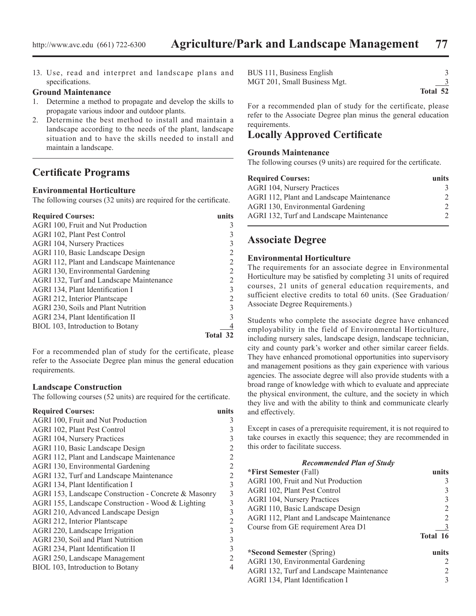13. Use, read and interpret and landscape plans and specifications.

#### **Ground Maintenance**

- 1. Determine a method to propagate and develop the skills to propagate various indoor and outdoor plants.
- 2. Determine the best method to install and maintain a landscape according to the needs of the plant, landscape situation and to have the skills needed to install and maintain a landscape.

# **Certificate Programs**

### **Environmental Horticulture**

The following courses (32 units) are required for the certificate.

| <b>Required Courses:</b>                  | units    |
|-------------------------------------------|----------|
| AGRI 100, Fruit and Nut Production        |          |
| AGRI 102, Plant Pest Control              |          |
| <b>AGRI 104, Nursery Practices</b>        |          |
| AGRI 110, Basic Landscape Design          |          |
| AGRI 112, Plant and Landscape Maintenance |          |
| AGRI 130, Environmental Gardening         | 2        |
| AGRI 132, Turf and Landscape Maintenance  |          |
| AGRI 134, Plant Identification I          | 3        |
| AGRI 212, Interior Plantscape             |          |
| AGRI 230, Soils and Plant Nutrition       | 3        |
| AGRI 234, Plant Identification II         |          |
| BIOL 103, Introduction to Botany          |          |
|                                           | Total 32 |

For a recommended plan of study for the certificate, please refer to the Associate Degree plan minus the general education requirements.

#### **Landscape Construction**

The following courses (52 units) are required for the certificate.

| <b>Required Courses:</b>                              | units          |
|-------------------------------------------------------|----------------|
| AGRI 100, Fruit and Nut Production                    | 3              |
| AGRI 102, Plant Pest Control                          | 3              |
| <b>AGRI 104, Nursery Practices</b>                    | 3              |
| AGRI 110, Basic Landscape Design                      | $\overline{c}$ |
| AGRI 112, Plant and Landscape Maintenance             | 2              |
| AGRI 130, Environmental Gardening                     | $\overline{c}$ |
| AGRI 132, Turf and Landscape Maintenance              | $\overline{c}$ |
| AGRI 134, Plant Identification I                      | 3              |
| AGRI 153, Landscape Construction - Concrete & Masonry | 3              |
| AGRI 155, Landscape Construction - Wood & Lighting    | 3              |
| AGRI 210, Advanced Landscape Design                   | 3              |
| AGRI 212, Interior Plantscape                         | $\overline{c}$ |
| AGRI 220, Landscape Irrigation                        | 3              |
| AGRI 230, Soil and Plant Nutrition                    | 3              |
| AGRI 234, Plant Identification II                     | 3              |
| AGRI 250, Landscape Management                        | $\overline{2}$ |
| BIOL 103, Introduction to Botany                      | 4              |
|                                                       |                |

| BUS 111, Business English    |          |
|------------------------------|----------|
| MGT 201, Small Business Mgt. |          |
|                              | Total 52 |

For a recommended plan of study for the certificate, please refer to the Associate Degree plan minus the general education requirements.

# **Locally Approved Certificate**

### **Grounds Maintenance**

The following courses (9 units) are required for the certificate.

| <b>Required Courses:</b>                  | units         |
|-------------------------------------------|---------------|
| AGRI 104, Nursery Practices               | 3             |
| AGRI 112, Plant and Landscape Maintenance | $\mathcal{D}$ |
| AGRI 130, Environmental Gardening         | $\mathcal{D}$ |
| AGRI 132, Turf and Landscape Maintenance  | $\mathcal{D}$ |

# **Associate Degree**

### **Environmental Horticulture**

The requirements for an associate degree in Environmental Horticulture may be satisfied by completing 31 units of required courses, 21 units of general education requirements, and sufficient elective credits to total 60 units. (See Graduation/ Associate Degree Requirements.)

Students who complete the associate degree have enhanced employability in the field of Environmental Horticulture, including nursery sales, landscape design, landscape technician, city and county park's worker and other similar career fields. They have enhanced promotional opportunities into supervisory and management positions as they gain experience with various agencies. The associate degree will also provide students with a broad range of knowledge with which to evaluate and appreciate the physical environment, the culture, and the society in which they live and with the ability to think and communicate clearly and effectively.

Except in cases of a prerequisite requirement, it is not required to take courses in exactly this sequence; they are recommended in this order to facilitate success.

| <b>Recommended Plan of Study</b>          |               |
|-------------------------------------------|---------------|
| *First Semester (Fall)                    | units         |
| AGRI 100, Fruit and Nut Production        | 3             |
| AGRI 102, Plant Pest Control              | 3             |
| <b>AGRI 104, Nursery Practices</b>        | 3             |
| AGRI 110, Basic Landscape Design          | 2             |
| AGRI 112, Plant and Landscape Maintenance | 2             |
| Course from GE requirement Area D1        |               |
|                                           | Total 16      |
| *Second Semester (Spring)                 | units         |
| AGRI 130, Environmental Gardening         | $\mathcal{L}$ |
| AGRI 132, Turf and Landscape Maintenance  | 2             |
| AGRI 134, Plant Identification I          | 3             |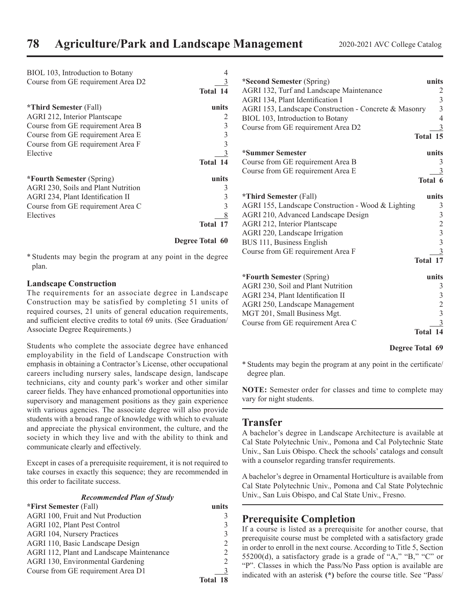| BIOL 103, Introduction to Botany    |                        |
|-------------------------------------|------------------------|
| Course from GE requirement Area D2  |                        |
|                                     | Total 14               |
| <b>*Third Semester</b> (Fall)       | units                  |
| AGRI 212, Interior Plantscape       |                        |
| Course from GE requirement Area B   | $\mathfrak{Z}$         |
| Course from GE requirement Area E   | $\overline{3}$         |
| Course from GE requirement Area F   | 3                      |
| Elective                            | 3                      |
|                                     | Total 14               |
| *Fourth Semester (Spring)           | units                  |
| AGRI 230, Soils and Plant Nutrition | 3                      |
| AGRI 234, Plant Identification II   | 3                      |
| Course from GE requirement Area C   | 3                      |
| Electives                           |                        |
|                                     | Total 17               |
|                                     | <b>Degree Total 60</b> |

\* Students may begin the program at any point in the degree plan.

### **Landscape Construction**

The requirements for an associate degree in Landscape Construction may be satisfied by completing 51 units of required courses, 21 units of general education requirements, and sufficient elective credits to total 69 units. (See Graduation/ Associate Degree Requirements.)

Students who complete the associate degree have enhanced employability in the field of Landscape Construction with emphasis in obtaining a Contractor's License, other occupational careers including nursery sales, landscape design, landscape technicians, city and county park's worker and other similar career fields. They have enhanced promotional opportunities into supervisory and management positions as they gain experience with various agencies. The associate degree will also provide students with a broad range of knowledge with which to evaluate and appreciate the physical environment, the culture, and the society in which they live and with the ability to think and communicate clearly and effectively.

Except in cases of a prerequisite requirement, it is not required to take courses in exactly this sequence; they are recommended in this order to facilitate success.

#### *Recommended Plan of Study*

| *First Semester (Fall)                    | unite    |
|-------------------------------------------|----------|
| AGRI 100, Fruit and Nut Production        |          |
| AGRI 102, Plant Pest Control              |          |
| <b>AGRI 104, Nursery Practices</b>        |          |
| AGRI 110, Basic Landscape Design          |          |
| AGRI 112, Plant and Landscape Maintenance |          |
| AGRI 130, Environmental Gardening         |          |
| Course from GE requirement Area D1        |          |
|                                           | Total 18 |

| *Second Semester (Spring)                             | units                                           |
|-------------------------------------------------------|-------------------------------------------------|
| AGRI 132, Turf and Landscape Maintenance              | $\overline{c}$                                  |
| AGRI 134, Plant Identification I                      | $\frac{3}{3}$                                   |
| AGRI 153, Landscape Construction - Concrete & Masonry |                                                 |
| BIOL 103, Introduction to Botany                      | $\overline{4}$                                  |
| Course from GE requirement Area D2                    | $\overline{3}$                                  |
|                                                       | Total 15                                        |
| *Summer Semester                                      | units                                           |
| Course from GE requirement Area B                     | 3                                               |
| Course from GE requirement Area E                     | 3                                               |
|                                                       | Total 6                                         |
| <i><b>*Third Semester (Fall)</b></i>                  | units                                           |
| AGRI 155, Landscape Construction - Wood & Lighting    | 3                                               |
| AGRI 210, Advanced Landscape Design                   |                                                 |
| AGRI 212, Interior Plantscape                         |                                                 |
| AGRI 220, Landscape Irrigation                        |                                                 |
| BUS 111, Business English                             |                                                 |
| Course from GE requirement Area F                     | $\begin{array}{c} 3 \\ 2 \\ 3 \\ 3 \end{array}$ |
|                                                       | Total 17                                        |
| *Fourth Semester (Spring)                             | units                                           |
| AGRI 230, Soil and Plant Nutrition                    | $\mathfrak{Z}$                                  |
| AGRI 234, Plant Identification II                     |                                                 |
| AGRI 250, Landscape Management                        | $\begin{array}{c} 3 \\ 2 \\ 3 \end{array}$      |
| MGT 201, Small Business Mgt.                          |                                                 |
| Course from GE requirement Area C                     | 3                                               |
|                                                       | Total 14                                        |
|                                                       |                                                 |

#### **Degree Total 69**

\* Students may begin the program at any point in the certificate/ degree plan.

**NOTE:** Semester order for classes and time to complete may vary for night students.

### **Transfer**

A bachelor's degree in Landscape Architecture is available at Cal State Polytechnic Univ., Pomona and Cal Polytechnic State Univ., San Luis Obispo. Check the schools' catalogs and consult with a counselor regarding transfer requirements.

A bachelor's degree in Ornamental Horticulture is available from Cal State Polytechnic Univ., Pomona and Cal State Polytechnic Univ., San Luis Obispo, and Cal State Univ., Fresno.

### **Prerequisite Completion**

If a course is listed as a prerequisite for another course, that prerequisite course must be completed with a satisfactory grade in order to enroll in the next course. According to Title 5, Section 55200(d), a satisfactory grade is a grade of "A," "B," "C" or "P". Classes in which the Pass/No Pass option is available are indicated with an asterisk **(\*)** before the course title. See "Pass/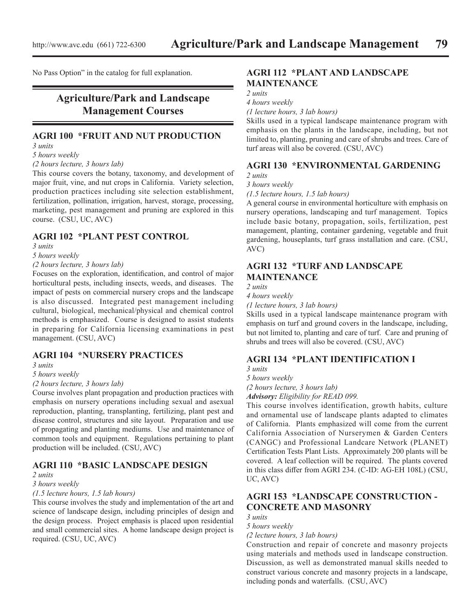No Pass Option" in the catalog for full explanation.

# **Agriculture/Park and Landscape Management Courses**

#### **AGRI 100 \*FRUIT AND NUT PRODUCTION** *3 units*

*5 hours weekly*

### *(2 hours lecture, 3 hours lab)*

This course covers the botany, taxonomy, and development of major fruit, vine, and nut crops in California. Variety selection, production practices including site selection establishment, fertilization, pollination, irrigation, harvest, storage, processing, marketing, pest management and pruning are explored in this course. (CSU, UC, AVC)

## **AGRI 102 \*PLANT PEST CONTROL**

*3 units*

*5 hours weekly*

### *(2 hours lecture, 3 hours lab)*

Focuses on the exploration, identification, and control of major horticultural pests, including insects, weeds, and diseases. The impact of pests on commercial nursery crops and the landscape is also discussed. Integrated pest management including cultural, biological, mechanical/physical and chemical control methods is emphasized. Course is designed to assist students in preparing for California licensing examinations in pest management. (CSU, AVC)

### **AGRI 104 \*NURSERY PRACTICES**

*3 units*

#### *5 hours weekly*

#### *(2 hours lecture, 3 hours lab)*

Course involves plant propagation and production practices with emphasis on nursery operations including sexual and asexual reproduction, planting, transplanting, fertilizing, plant pest and disease control, structures and site layout. Preparation and use of propagating and planting mediums. Use and maintenance of common tools and equipment. Regulations pertaining to plant production will be included. (CSU, AVC)

### **AGRI 110 \*BASIC LANDSCAPE DESIGN**

### *2 units*

### *3 hours weekly*

*(1.5 lecture hours, 1.5 lab hours)*

This course involves the study and implementation of the art and science of landscape design, including principles of design and the design process. Project emphasis is placed upon residential and small commercial sites. A home landscape design project is required. (CSU, UC, AVC)

# **AGRI 112 \*PLANT AND LANDSCAPE MAINTENANCE**

*2 units*

*4 hours weekly*

*(1 lecture hours, 3 lab hours)*

Skills used in a typical landscape maintenance program with emphasis on the plants in the landscape, including, but not limited to, planting, pruning and care of shrubs and trees. Care of turf areas will also be covered. (CSU, AVC)

### **AGRI 130 \*ENVIRONMENTAL GARDENING** *2 units*

*3 hours weekly*

*(1.5 lecture hours, 1.5 lab hours)*

A general course in environmental horticulture with emphasis on nursery operations, landscaping and turf management. Topics include basic botany, propagation, soils, fertilization, pest management, planting, container gardening, vegetable and fruit gardening, houseplants, turf grass installation and care. (CSU, AVC)

## **AGRI 132 \*TURF AND LANDSCAPE MAINTENANCE**

*2 units*

*4 hours weekly (1 lecture hours, 3 lab hours)*

Skills used in a typical landscape maintenance program with emphasis on turf and ground covers in the landscape, including, but not limited to, planting and care of turf. Care and pruning of shrubs and trees will also be covered. (CSU, AVC)

## **AGRI 134 \*PLANT IDENTIFICATION I**

*3 units*

*5 hours weekly*

*(2 hours lecture, 3 hours lab)*

*Advisory: Eligibility for READ 099.*

This course involves identification, growth habits, culture and ornamental use of landscape plants adapted to climates of California. Plants emphasized will come from the current California Association of Nurserymen & Garden Centers (CANGC) and Professional Landcare Network (PLANET) Certification Tests Plant Lists. Approximately 200 plants will be covered. A leaf collection will be required. The plants covered in this class differ from AGRI 234. (C-ID: AG-EH 108L) (CSU, UC, AVC)

## **AGRI 153 \*LANDSCAPE CONSTRUCTION - CONCRETE AND MASONRY**

*3 units*

*5 hours weekly (2 lecture hours, 3 lab hours)*

Construction and repair of concrete and masonry projects using materials and methods used in landscape construction. Discussion, as well as demonstrated manual skills needed to construct various concrete and masonry projects in a landscape, including ponds and waterfalls. (CSU, AVC)